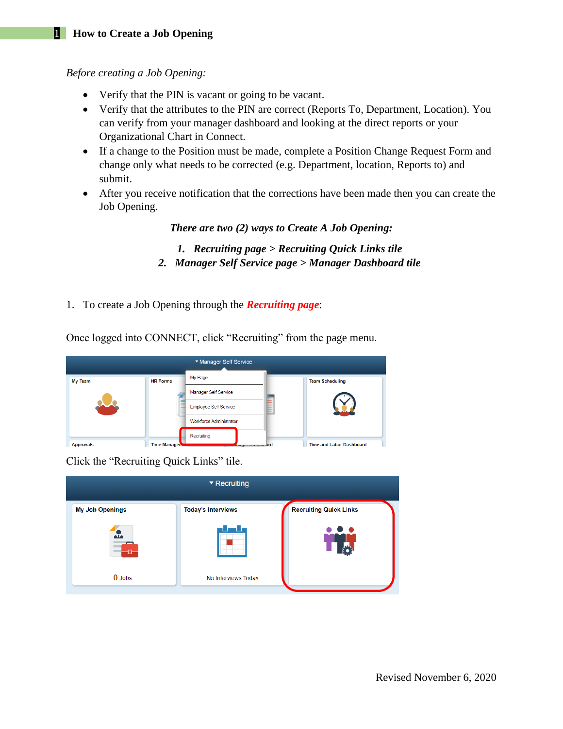## 1 **How to Create a Job Opening**

*Before creating a Job Opening:*

- Verify that the PIN is vacant or going to be vacant.
- Verify that the attributes to the PIN are correct (Reports To, Department, Location). You can verify from your manager dashboard and looking at the direct reports or your Organizational Chart in Connect.
- If a change to the Position must be made, complete a Position Change Request Form and change only what needs to be corrected (e.g. Department, location, Reports to) and submit.
- After you receive notification that the corrections have been made then you can create the Job Opening.

*There are two (2) ways to Create A Job Opening:*

- *1. Recruiting page > Recruiting Quick Links tile 2. Manager Self Service page > Manager Dashboard tile*
- 1. To create a Job Opening through the *Recruiting page*:

Once logged into CONNECT, click "Recruiting" from the page menu.

|                  |                     | ▼ Manager Self Service         |                                 |
|------------------|---------------------|--------------------------------|---------------------------------|
| <b>My Team</b>   | <b>HR Forms</b>     | My Page                        | <b>Team Scheduling</b>          |
|                  |                     | <b>Manager Self Service</b>    |                                 |
|                  |                     | <b>Employee Self Service</b>   |                                 |
|                  |                     | <b>Workforce Administrator</b> |                                 |
|                  |                     | Recruiting                     |                                 |
| <b>Approvals</b> | <b>Time Manager</b> | muuer Duarnoodrd               | <b>Time and Labor Dashboard</b> |

Click the "Recruiting Quick Links" tile.

|                        | $\blacktriangledown$ Recruiting |                               |
|------------------------|---------------------------------|-------------------------------|
| <b>My Job Openings</b> | <b>Today's Interviews</b>       | <b>Recruiting Quick Links</b> |
| az.                    | ш                               |                               |
| $0$ Jobs               | No Interviews Today             |                               |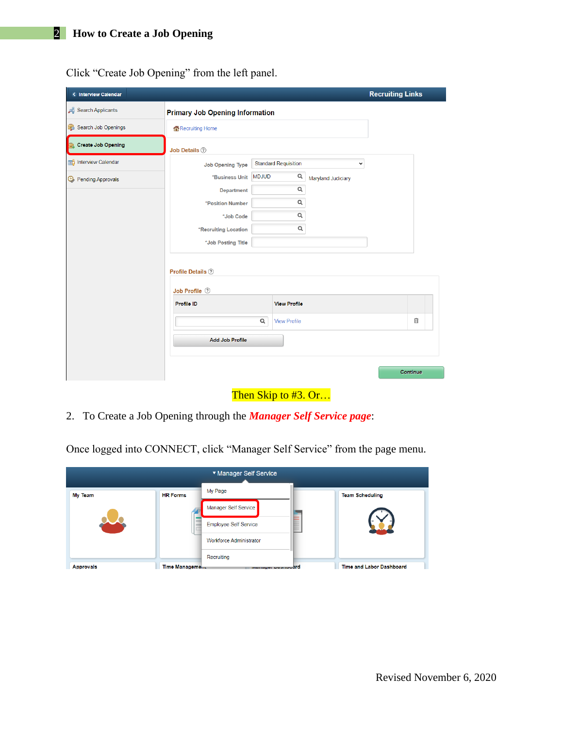| < Interview Calendar       |                                        |              |                             |                    | <b>Recruiting Links</b> |          |
|----------------------------|----------------------------------------|--------------|-----------------------------|--------------------|-------------------------|----------|
| Search Applicants          | <b>Primary Job Opening Information</b> |              |                             |                    |                         |          |
| Search Job Openings        | Recruiting Home                        |              |                             |                    |                         |          |
| Create Job Opening         | Job Details 2                          |              |                             |                    |                         |          |
| Interview Calendar         | <b>Job Opening Type</b>                |              | <b>Standard Requisition</b> | $\checkmark$       |                         |          |
| <b>B</b> Pending Approvals | *Business Unit                         | <b>MDJUD</b> | Q                           | Maryland Judiciary |                         |          |
|                            | <b>Department</b>                      |              | $\mathsf Q$                 |                    |                         |          |
|                            | *Position Number                       |              | $\mathsf Q$                 |                    |                         |          |
|                            | *Job Code                              |              | $\alpha$                    |                    |                         |          |
|                            | *Recruiting Location                   |              | $\mathsf Q$                 |                    |                         |          |
|                            | *Job Posting Title                     |              |                             |                    |                         |          |
|                            | Profile Details 2<br>Job Profile 2     |              |                             |                    |                         |          |
|                            | <b>Profile ID</b>                      |              | <b>View Profile</b>         |                    |                         |          |
|                            |                                        | $\alpha$     | <b>View Profile</b>         |                    |                         | î        |
|                            | <b>Add Job Profile</b>                 |              |                             |                    |                         |          |
|                            |                                        |              |                             |                    |                         | Continue |

Then Skip to #3. Or...

2. To Create a Job Opening through the *Manager Self Service page*:

Once logged into CONNECT, click "Manager Self Service" from the page menu.

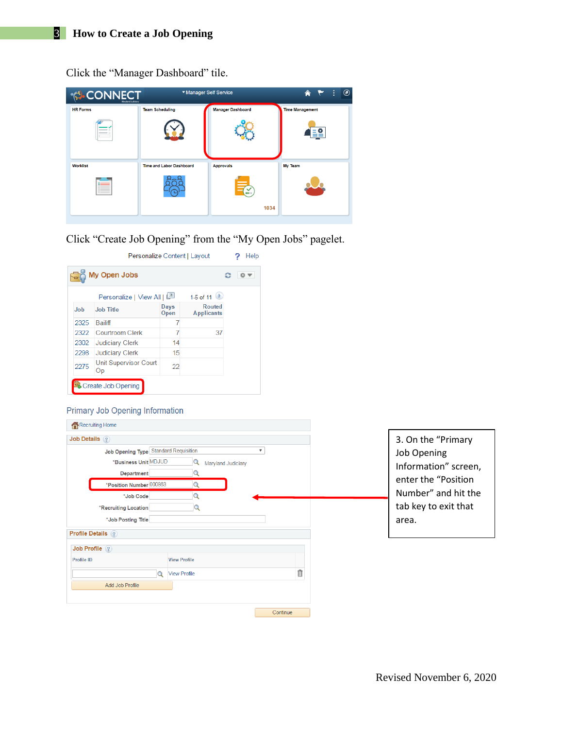Click the "Manager Dashboard" tile.

| <b>CONNECT</b><br>Maryland Judiciary | ▼ Manager Self Service          |                          | $^{\circledR}$<br>÷<br>徻 |
|--------------------------------------|---------------------------------|--------------------------|--------------------------|
| <b>HR Forms</b>                      | <b>Team Scheduling</b>          | <b>Manager Dashboard</b> | <b>Time Management</b>   |
|                                      |                                 |                          |                          |
| <b>Worklist</b>                      | <b>Time and Labor Dashboard</b> | <b>Approvals</b>         | My Team                  |
|                                      |                                 |                          |                          |
|                                      |                                 | 1034                     |                          |
|                                      |                                 |                          |                          |

Click "Create Job Opening" from the "My Open Jobs" pagelet.

|      | My Open Jobs                  |                     |                                    |  |
|------|-------------------------------|---------------------|------------------------------------|--|
|      | Personalize   View All   التي |                     | 1-5 of 11                          |  |
| Job  | <b>Job Title</b>              | <b>Days</b><br>Open | <b>Routed</b><br><b>Applicants</b> |  |
| 2325 | <b>Bailiff</b>                | 7                   |                                    |  |
| 2322 | Courtroom Clerk               | 7                   | 37                                 |  |
| 2302 | <b>Judiciary Clerk</b>        | 14                  |                                    |  |
| 2298 | <b>Judiciary Clerk</b>        | 15                  |                                    |  |
| 2275 | Unit Supervisor Court<br>Оp   | 22                  |                                    |  |

#### Primary Job Opening Information

| Recruiting Home                                                                                                                                                             |                                                                                                            |
|-----------------------------------------------------------------------------------------------------------------------------------------------------------------------------|------------------------------------------------------------------------------------------------------------|
| Job Details ?                                                                                                                                                               | 3. On the "Primary                                                                                         |
| Job Opening Type Standard Requisition<br>▼<br>*Business Unit MDJUD<br>Q<br>Maryland Judiciary<br>Department<br>*Position Number 000863<br>*Job Code<br>*Recruiting Location | Job Opening<br>Information" screen,<br>enter the "Position"<br>Number" and hit the<br>tab key to exit that |
| *Job Posting Title                                                                                                                                                          | area.                                                                                                      |
| Profile Details ?                                                                                                                                                           |                                                                                                            |
| Job Profile (?)                                                                                                                                                             |                                                                                                            |
| Profile ID<br><b>View Profile</b>                                                                                                                                           |                                                                                                            |
| <b>View Profile</b><br>$\Omega$                                                                                                                                             | î                                                                                                          |
| Add Job Profile                                                                                                                                                             |                                                                                                            |
|                                                                                                                                                                             |                                                                                                            |
|                                                                                                                                                                             | Continue                                                                                                   |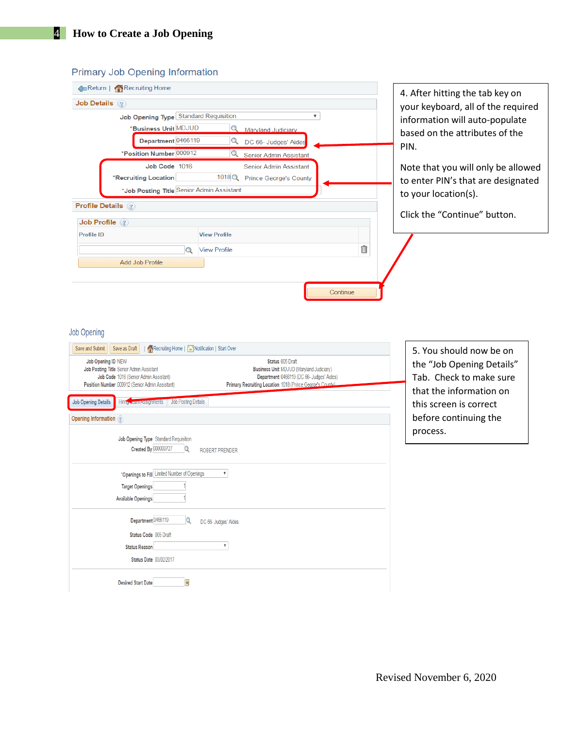### **Primary Job Opening Information**

| Recruiting Home                                                                                                                                                                                                            |                                                      |
|----------------------------------------------------------------------------------------------------------------------------------------------------------------------------------------------------------------------------|------------------------------------------------------|
| Job Details ?                                                                                                                                                                                                              | 4. After hitting the tab key on                      |
| Job Opening Type Standard Requisition<br>$\overline{\mathbf{v}}$                                                                                                                                                           | your keyboard, all of the required                   |
| *Business Unit MDJUD<br>Q Maryland Judiciary                                                                                                                                                                               | information will auto-populate                       |
| Department 0466119<br>Q<br>DC 66- Judges' Aides                                                                                                                                                                            | based on the attributes of the                       |
| *Position Number 000912<br>Q<br><b>Senior Admin Assistant</b>                                                                                                                                                              | PIN.                                                 |
| Job Code 1016<br><b>Senior Admin Assistant</b>                                                                                                                                                                             | Note that you will only be allowed                   |
| 1018Q Prince George's County<br>*Recruiting Location                                                                                                                                                                       |                                                      |
| *Job Posting Title Senior Admin Assistant                                                                                                                                                                                  | to enter PIN's that are designated                   |
| <b>Profile Details ?</b>                                                                                                                                                                                                   | to your location(s).                                 |
|                                                                                                                                                                                                                            | Click the "Continue" button.                         |
| Job Profile (?)                                                                                                                                                                                                            |                                                      |
| <b>Profile ID</b><br><b>View Profile</b>                                                                                                                                                                                   |                                                      |
| <b>View Profile</b><br>$\alpha$                                                                                                                                                                                            | î                                                    |
| Add Job Profile                                                                                                                                                                                                            |                                                      |
|                                                                                                                                                                                                                            |                                                      |
| Recruiting Home   [ Notification   Start Over<br>Save and Submit<br>Save as Draft<br>Job Opening ID NEW<br>Status 005 Draft<br>Job Posting Title Senior Admin Assistant<br><b>Business Unit MDJUD (Maryland Judiciary)</b> | 5. You should now be on<br>the "Job Opening Details" |
| Job Code 1016 (Senior Admin Assistant)<br>Department 0466119 (DC 66- Judges' Aides)<br>Primary Recruiting Location 1018 (Prince George's County)<br>Position Number 000912 (Senior Admin Assistant)                        | Tab. Check to make sure                              |
|                                                                                                                                                                                                                            | that the information on                              |
| Job Posting Details<br><b>Job Opening Details</b><br>Hiring cam Assignments                                                                                                                                                | this screen is correct                               |
| Opening Information ?                                                                                                                                                                                                      | before continuing the                                |
| Job Opening Type Standard Requisition<br><b>Created By 000000727</b><br>Q<br><b>ROBERT PRENDER</b>                                                                                                                         | process.                                             |
|                                                                                                                                                                                                                            |                                                      |
| *Openings to Fill Limited Number of Openings<br>$\pmb{\mathbb{v}}$                                                                                                                                                         |                                                      |
| <b>Target Openings</b>                                                                                                                                                                                                     |                                                      |
| <b>Available Openings</b>                                                                                                                                                                                                  |                                                      |
| Department 0466119<br>Q<br>DC 66- Judges' Aides                                                                                                                                                                            |                                                      |
| Status Code 005 Draft                                                                                                                                                                                                      |                                                      |
| $\pmb{\mathbb{v}}$<br><b>Status Reason</b>                                                                                                                                                                                 |                                                      |
| <b>Status Date 03/02/2017</b>                                                                                                                                                                                              |                                                      |
|                                                                                                                                                                                                                            |                                                      |
| <b>Desired Start Date</b><br>31                                                                                                                                                                                            |                                                      |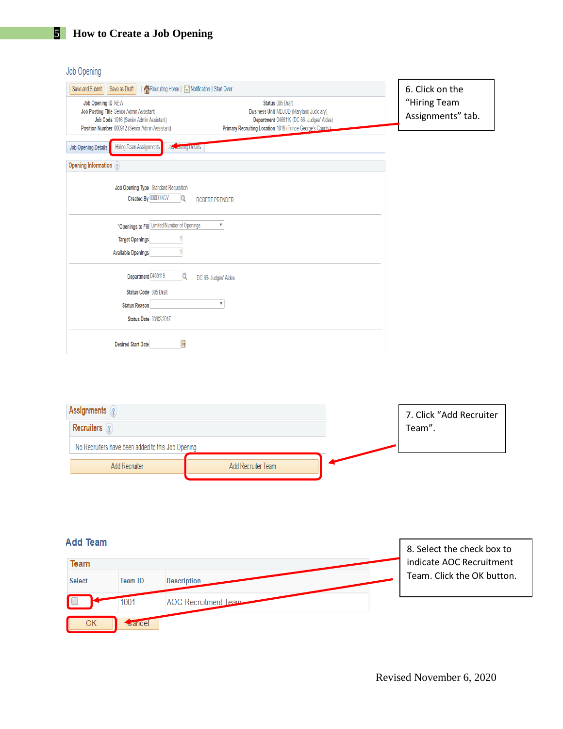### Job Opening

| Recruiting Home   E Notification   Start Over<br>Save and Submit<br>Save as Draft                                                                                                                                                                                                                                                             | 6. Click on the                   |
|-----------------------------------------------------------------------------------------------------------------------------------------------------------------------------------------------------------------------------------------------------------------------------------------------------------------------------------------------|-----------------------------------|
| Job Opening ID NEW<br>Status 005 Draft<br>Job Posting Title Senior Admin Assistant<br><b>Business Unit MDJUD (Maryland Judiciary)</b><br>Job Code 1016 (Senior Admin Assistant)<br>Department 0466119 (DC 66- Judges' Aides)<br>Position Number 000912 (Senior Admin Assistant)<br>Primary Recruiting Location 1018 (Prince George's County). | "Hiring Team<br>Assignments" tab. |
| <b>Hiring Team Assignments</b><br><b>Job Opening Details</b><br>Job <sub>no</sub> vourig Details                                                                                                                                                                                                                                              |                                   |
| Opening Information (?)                                                                                                                                                                                                                                                                                                                       |                                   |
| Job Opening Type Standard Requisition<br>Created By 000000727<br>Q<br><b>ROBERT PRENDER</b>                                                                                                                                                                                                                                                   |                                   |
| *Openings to Fill Limited Number of Openings<br>V                                                                                                                                                                                                                                                                                             |                                   |
| <b>Target Openings</b><br><b>Available Openings</b>                                                                                                                                                                                                                                                                                           |                                   |
| Q<br>Department 0466119<br>DC 66- Judges' Aides                                                                                                                                                                                                                                                                                               |                                   |
| Status Code 005 Draft                                                                                                                                                                                                                                                                                                                         |                                   |
| $\overline{\mathbf{v}}$<br><b>Status Reason</b>                                                                                                                                                                                                                                                                                               |                                   |
| <b>Status Date 03/02/2017</b>                                                                                                                                                                                                                                                                                                                 |                                   |
| $\overline{\mathbf{H}}$<br><b>Desired Start Date</b>                                                                                                                                                                                                                                                                                          |                                   |

| Assignments ?                                     |                    | 7. Click "Add Recruiter |
|---------------------------------------------------|--------------------|-------------------------|
| <b>Recruiters</b>                                 |                    | Team".                  |
| No Recruiters have been added to this Job Opening |                    |                         |
| Add Recruiter                                     | Add Recruiter Team |                         |

#### **Add Team** 8. Select the check box to indicate AOC Recruitment Team Team. Click the OK button.**Select Team ID Description** 1001 **AOC Recruitment Team**  $\overline{OK}$ Gancel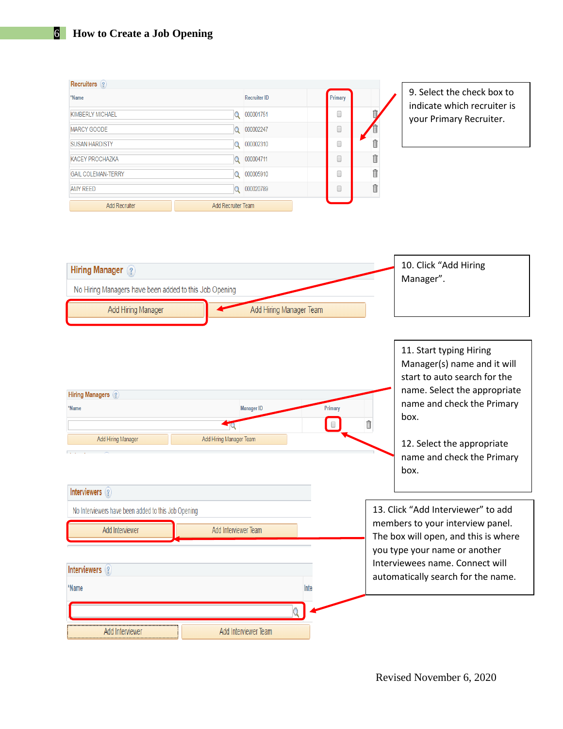# 6 **How to Create a Job Opening**

| Recruiters ?                                                               |                         |                         |         |    |                                                                                                                                                                        |
|----------------------------------------------------------------------------|-------------------------|-------------------------|---------|----|------------------------------------------------------------------------------------------------------------------------------------------------------------------------|
| *Name                                                                      |                         | <b>Recruiter ID</b>     | Primary |    | 9. Select the check box to                                                                                                                                             |
| <b>KIMBERLY MICHAEL</b>                                                    |                         | Q 000001751             | $\Box$  |    | indicate which recruiter is                                                                                                                                            |
| <b>MARCY GOODE</b>                                                         | $\Omega$                | 000002247               | 0       |    | your Primary Recruiter.                                                                                                                                                |
| <b>SUSAN HARDISTY</b>                                                      | $\alpha$                | 000002310               | $\Box$  | īi |                                                                                                                                                                        |
| <b>KACEY PROCHAZKA</b>                                                     |                         | Q 000004711             | 0       | î  |                                                                                                                                                                        |
| <b>GAIL COLEMAN-TERRY</b>                                                  | Q                       | 000005910               | 0       | Î  |                                                                                                                                                                        |
| <b>AMY REED</b>                                                            |                         | Q 000020789             | 0       | Î  |                                                                                                                                                                        |
| <b>Add Recruiter</b>                                                       | Add Recruiter Team      |                         |         |    |                                                                                                                                                                        |
| Hiring Manager ?<br>No Hiring Managers have been added to this Job Opening |                         |                         |         |    | 10. Click "Add Hiring<br>Manager".                                                                                                                                     |
| Add Hiring Manager                                                         |                         | Add Hiring Manager Team |         |    |                                                                                                                                                                        |
| <b>Hiring Managers</b> ?<br>*Name<br>Add Hiring Manager<br>Interviewers ?  | Add Hiring Manager Team | <b>Manager ID</b>       | Primary | î  | start to auto search for the<br>name. Select the appropriate<br>name and check the Primary<br>box.<br>12. Select the appropriate<br>name and check the Primary<br>box. |
| No Interviewers have been added to this Job Opening                        |                         |                         |         |    | 13. Click "Add Interviewer" to add                                                                                                                                     |
| Add Interviewer                                                            | Add Interviewer Team    |                         |         |    | members to your interview panel.                                                                                                                                       |
|                                                                            |                         |                         |         |    | The box will open, and this is where                                                                                                                                   |
| Interviewers (?)<br>*Name                                                  |                         |                         | Inte    |    | you type your name or another<br>Interviewees name. Connect will<br>automatically search for the name.                                                                 |
|                                                                            |                         |                         |         |    |                                                                                                                                                                        |
|                                                                            |                         |                         |         |    |                                                                                                                                                                        |